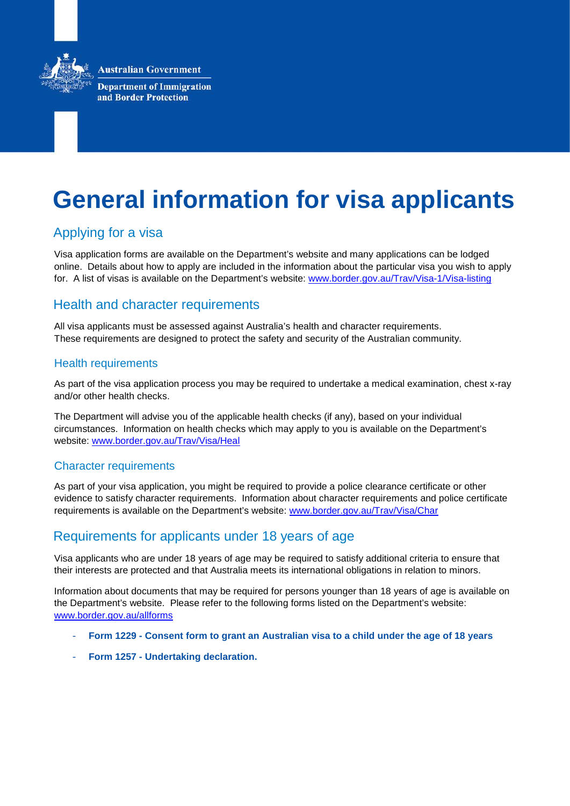**Australian Government** 



**Department of Immigration** and Border Protection

# **General information for visa applicants**

# Applying for a visa

Visa application forms are available on the Department's website and many applications can be lodged online. Details about how to apply are included in the information about the particular visa you wish to apply for. A list of visas is available on the Department's website: [www.border.gov.au/Trav/Visa-1/Visa-listing](http://www.border.gov.au/Trav/Visa-1/Visa-listing)

# Health and character requirements

All visa applicants must be assessed against Australia's health and character requirements. These requirements are designed to protect the safety and security of the Australian community.

#### Health requirements

As part of the visa application process you may be required to undertake a medical examination, chest x-ray and/or other health checks.

The Department will advise you of the applicable health checks (if any), based on your individual circumstances. Information on health checks which may apply to you is available on the Department's website: [www.border.gov.au/Trav/Visa/Heal](http://www.border.gov.au/Trav/Visa/Heal)

#### Character requirements

As part of your visa application, you might be required to provide a police clearance certificate or other evidence to satisfy character requirements. Information about character requirements and police certificate requirements is available on the Department's website: [www.border.gov.au/Trav/Visa/Char](http://www.border.gov.au/Trav/Visa/Char)

# Requirements for applicants under 18 years of age

Visa applicants who are under 18 years of age may be required to satisfy additional criteria to ensure that their interests are protected and that Australia meets its international obligations in relation to minors.

Information about documents that may be required for persons younger than 18 years of age is available on the Department's website. Please refer to the following forms listed on the Department's website: [www.border.gov.au/allforms](http://www.border.gov.au/allforms)

- **Form 1229 - Consent form to grant an Australian visa to a child under the age of 18 years**
- **Form 1257 - Undertaking declaration.**